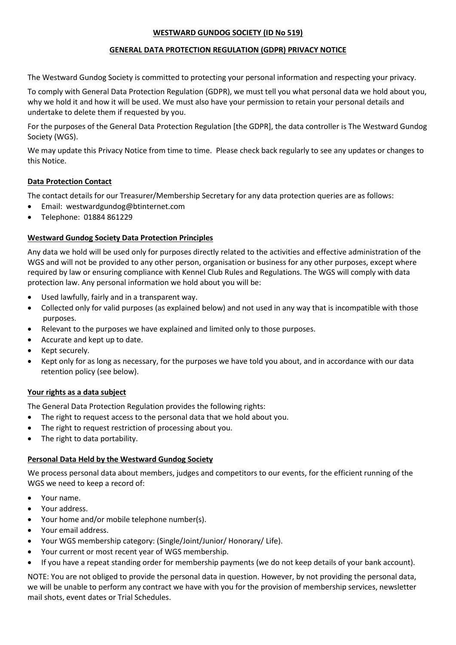# **WESTWARD GUNDOG SOCIETY (ID No 519)**

# **GENERAL DATA PROTECTION REGULATION (GDPR) PRIVACY NOTICE**

The Westward Gundog Society is committed to protecting your personal information and respecting your privacy.

To comply with General Data Protection Regulation (GDPR), we must tell you what personal data we hold about you, why we hold it and how it will be used. We must also have your permission to retain your personal details and undertake to delete them if requested by you.

For the purposes of the General Data Protection Regulation [the GDPR], the data controller is The Westward Gundog Society (WGS).

We may update this Privacy Notice from time to time. Please check back regularly to see any updates or changes to this Notice.

## **Data Protection Contact**

The contact details for our Treasurer/Membership Secretary for any data protection queries are as follows:

- Email: [westwardgundog@btinternet.com](mailto:westwardgundog@btinternet.com)
- Telephone: 01884 861229

## **Westward Gundog Society Data Protection Principles**

Any data we hold will be used only for purposes directly related to the activities and effective administration of the WGS and will not be provided to any other person, organisation or business for any other purposes, except where required by law or ensuring compliance with Kennel Club Rules and Regulations. The WGS will comply with data protection law. Any personal information we hold about you will be:

- Used lawfully, fairly and in a transparent way.
- Collected only for valid purposes (as explained below) and not used in any way that is incompatible with those purposes.
- Relevant to the purposes we have explained and limited only to those purposes.
- Accurate and kept up to date.
- Kept securely.
- Kept only for as long as necessary, for the purposes we have told you about, and in accordance with our data retention policy (see below).

### **Your rights as a data subject**

The General Data Protection Regulation provides the following rights:

- The right to request access to the personal data that we hold about you.
- The right to request restriction of processing about you.
- The right to data portability.

# **Personal Data Held by the Westward Gundog Society**

We process personal data about members, judges and competitors to our events, for the efficient running of the WGS we need to keep a record of:

- Your name.
- Your address.
- Your home and/or mobile telephone number(s).
- Your email address.
- Your WGS membership category: (Single/Joint/Junior/ Honorary/ Life).
- Your current or most recent year of WGS membership.
- If you have a repeat standing order for membership payments (we do not keep details of your bank account).

NOTE: You are not obliged to provide the personal data in question. However, by not providing the personal data, we will be unable to perform any contract we have with you for the provision of membership services, newsletter mail shots, event dates or Trial Schedules.